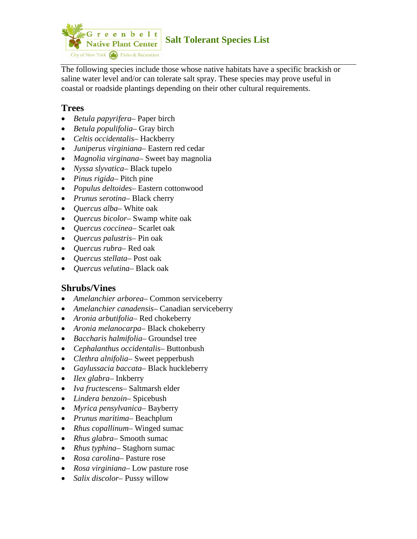

The following species include those whose native habitats have a specific brackish or saline water level and/or can tolerate salt spray. These species may prove useful in coastal or roadside plantings depending on their other cultural requirements.

## **Trees**

- *Betula papyrifera* Paper birch
- *Betula populifolia* Gray birch
- *Celtis occidentalis* Hackberry
- *Juniperus virginiana* Eastern red cedar
- *Magnolia virginana* Sweet bay magnolia
- *Nyssa slyvatica* Black tupelo
- *Pinus rigida* Pitch pine
- *Populus deltoides* Eastern cottonwood
- *Prunus serotina* Black cherry
- *Quercus alba* White oak
- *Quercus bicolor* Swamp white oak
- *Quercus coccinea* Scarlet oak
- *Quercus palustris* Pin oak
- *Quercus rubra* Red oak
- *Quercus stellata* Post oak
- *Quercus velutina* Black oak

# **Shrubs/Vines**

- *Amelanchier arborea* Common serviceberry
- *Amelanchier canadensis* Canadian serviceberry
- *Aronia arbutifolia* Red chokeberry
- *Aronia melanocarpa* Black chokeberry
- *Baccharis halmifolia* Groundsel tree
- *Cephalanthus occidentalis* Buttonbush
- *Clethra alnifolia* Sweet pepperbush
- *Gaylussacia baccata* Black huckleberry
- *Ilex glabra* Inkberry
- *Iva fructescens* Saltmarsh elder
- *Lindera benzoin* Spicebush
- *Myrica pensylvanica* Bayberry
- *Prunus maritima* Beachplum
- *Rhus copallinum* Winged sumac
- *Rhus glabra* Smooth sumac
- *Rhus typhina* Staghorn sumac
- *Rosa carolina* Pasture rose
- *Rosa virginiana* Low pasture rose
- *Salix discolor* Pussy willow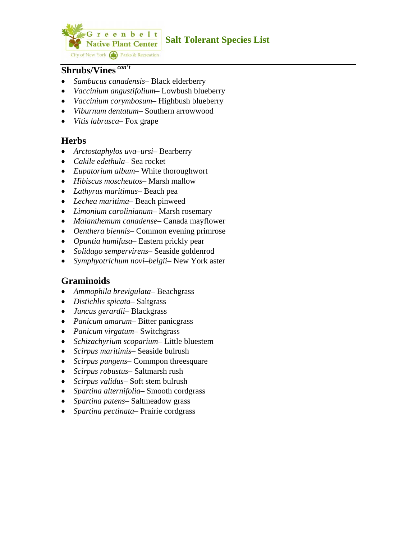

#### **Shrubs/Vines** *con't*

- *Sambucus canadensis* Black elderberry
- *Vaccinium angustifolium* Lowbush blueberry
- *Vaccinium corymbosum* Highbush blueberry
- *Viburnum dentatum* Southern arrowwood
- *Vitis labrusca* Fox grape

#### **Herbs**

- *Arctostaphylos uva–ursi* Bearberry
- *Cakile edethula* Sea rocket
- *Eupatorium album* White thoroughwort
- *Hibiscus moscheutos* Marsh mallow
- *Lathyrus maritimus* Beach pea
- *Lechea maritima* Beach pinweed
- *Limonium carolinianum* Marsh rosemary
- *Maianthemum canadense* Canada mayflower
- *Oenthera biennis* Common evening primrose
- *Opuntia humifusa* Eastern prickly pear
- *Solidago sempervirens* Seaside goldenrod
- *Symphyotrichum novi–belgii* New York aster

### **Graminoids**

- *Ammophila brevigulata* Beachgrass
- *Distichlis spicata* Saltgrass
- *Juncus gerardii* Blackgrass
- *Panicum amarum* Bitter panicgrass
- *Panicum virgatum* Switchgrass
- *Schizachyrium scoparium* Little bluestem
- *Scirpus maritimis* Seaside bulrush
- *Scirpus pungens* Commpon threesquare
- *Scirpus robustus* Saltmarsh rush
- *Scirpus validus* Soft stem bulrush
- *Spartina alternifolia* Smooth cordgrass
- *Spartina patens* Saltmeadow grass
- *Spartina pectinata* Prairie cordgrass